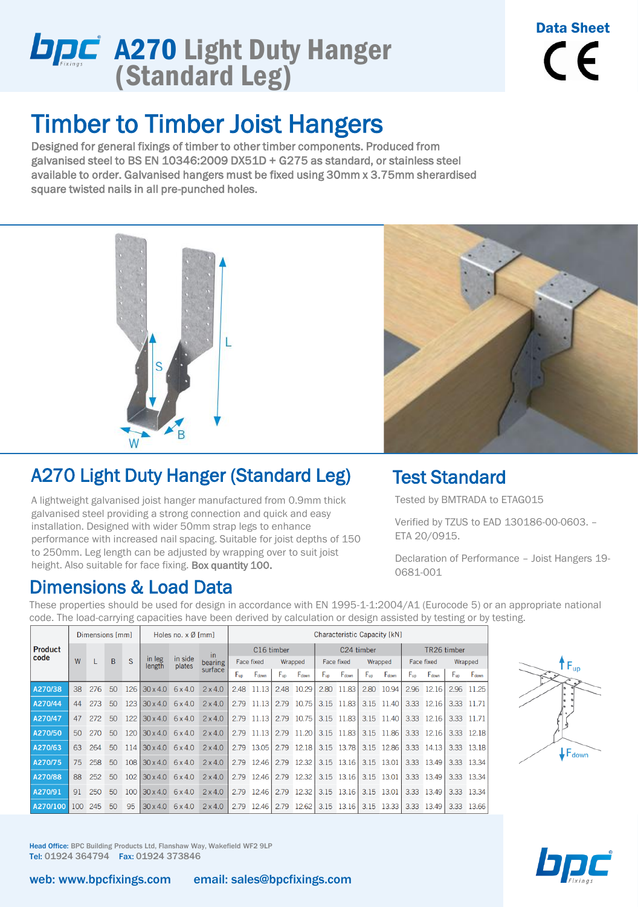# **A270 Light Duty Hanger** (Standard Leg)

## Timber to Timber Joist Hangers

Designed for general fixings of timber to other timber components. Produced from galvanised steel to BS EN 10346:2009 DX51D + G275 as standard, or stainless steel available to order. Galvanised hangers must be fixed using 30mm x 3.75mm sherardised square twisted nails in all pre-punched holes.



### A270 Light Duty Hanger (Standard Leg)

A lightweight galvanised joist hanger manufactured from 0.9mm thick galvanised steel providing a strong connection and quick and easy installation. Designed with wider 50mm strap legs to enhance performance with increased nail spacing. Suitable for joist depths of 150 to 250mm. Leg length can be adjusted by wrapping over to suit joist height. Also suitable for face fixing. Box quantity 100.

#### Dimensions & Load Data



Data Sheet

 $\epsilon$ 

#### Test Standard

Tested by BMTRADA to ETAG015

Verified by TZUS to EAD 130186-00-0603. – ETA 20/0915.

Declaration of Performance – Joist Hangers 19- 0681-001

These properties should be used for design in accordance with EN 1995-1-1:2004/A1 (Eurocode 5) or an appropriate national code. The load-carrying capacities have been derived by calculation or design assisted by testing or by testing.

| <b>Product</b><br>code | Dimensions [mm] |     |                 |     | Holes no. $x \emptyset$ [mm]   |                   |                          | Characteristic Capacity [kN] |            |          |            |            |                       |          |             |            |              |          |            |
|------------------------|-----------------|-----|-----------------|-----|--------------------------------|-------------------|--------------------------|------------------------------|------------|----------|------------|------------|-----------------------|----------|-------------|------------|--------------|----------|------------|
|                        | W               |     | B               | S   | in leg<br>length               | in side<br>plates | in<br>bearing<br>surface | C16 timber                   |            |          | C24 timber |            |                       |          | TR26 timber |            |              |          |            |
|                        |                 |     |                 |     |                                |                   |                          | <b>Face fixed</b>            |            | Wrapped  |            | Face fixed |                       | Wrapped  |             | Face fixed |              | Wrapped  |            |
|                        |                 |     |                 |     |                                |                   |                          | $F_{\text{up}}$              | Fdown      | $F_{up}$ | Fdown      | $F_{up}$   | Fdown                 | $F_{up}$ | Fdown       | $F_{up}$   | Fdown        | $F_{up}$ | Fdown      |
| A270/38                | 38              | 276 | 50              | 126 | $30 \times 4.0$                | 6x4.0             | 2x4.0                    | 2.48                         | 11.13      | 2.48     | 10.29      | 2.80       | 11.83                 | 2.80     | 10.94       | 2.96       | 12.16        | 2.96     | 11.25      |
| A270/44                | 44              | 273 | 50              | 123 | $30 \times 4.0$                | 6x4.0             | $2 \times 4.0$           | 2.79                         | 11.13      |          | 2.79 10.75 |            | 3.15 11.83            |          | 3.15 11.40  |            | 3.33 12.16   |          | 3.33 11.71 |
| A270/47                | 47              | 272 | 50              | 122 | $30 \times 4.0$                | 6x4.0             | $2 \times 4.0$           |                              | 2.79 11.13 |          | 2.79 10.75 |            | 3.15 11.83            |          | 3.15 11.40  |            | 3.33 12.16   |          | 3.33 11.71 |
| A270/50                | 50              | 270 | 50              | 120 | $30 \times 4.0$ 6 $\times 4.0$ |                   | $2 \times 4.0$           |                              | 2.79 11.13 |          | 2.79 11.20 |            | 3.15 11.83            |          | 3.15 11.86  |            | 3.33 12.16   |          | 3.33 12.18 |
| A270/63                | 63              | 264 | 50              | 114 | $30 \times 4.0$ 6 $\times 4.0$ |                   | $2 \times 4.0$           |                              | 2.79 13.05 |          | 2.79 12.18 |            | 3.15 13.78            |          | 3.15 12.86  |            | 3.33 14.13   |          | 3.33 13.18 |
| A270/75                | 75              | 258 | 50              | 108 | $30 \times 4.0$                | 6x4.0             | $2 \times 4.0$           |                              | 2.79 12.46 |          | 2.79 12.32 |            | 3.15 13.16            |          | 3.15 13.01  |            | $3.33$ 13.49 |          | 3.33 13.34 |
| A270/88                | 88              | 252 | 50 <sup>°</sup> | 102 | $30 \times 4.0$                | 6x4.0             | $2 \times 4.0$           |                              | 2.79 12.46 |          | 2.79 12.32 |            | 3.15 13.16            |          | 3.15 13.01  |            | 3.33 13.49   |          | 3.33 13.34 |
| A270/91                | 91              | 250 | 50 <sup>°</sup> | 100 | $30 \times 4.0$ 6 $\times 4.0$ |                   | $2 \times 4.0$           |                              | 2.79 12.46 |          | 2.79 12.32 |            | 3.15 13.16            |          | 3.15 13.01  |            | 3.33 13.49   |          | 3.33 13.34 |
| A270/100               | 100             | 245 | 50              | 95  | $30 \times 4.0$ 6 $\times 4.0$ |                   | $2 \times 4.0$           |                              | 2.79 12.46 |          | 2.79 12.62 |            | 3.15 13.16 3.15 13.33 |          |             |            | 3.33 13.49   |          | 3.33 13.66 |



Head Office: BPC Building Products Ltd, Flanshaw Way, Wakefield WF2 9LP Tel: 01924 364794 Fax: 01924 373846